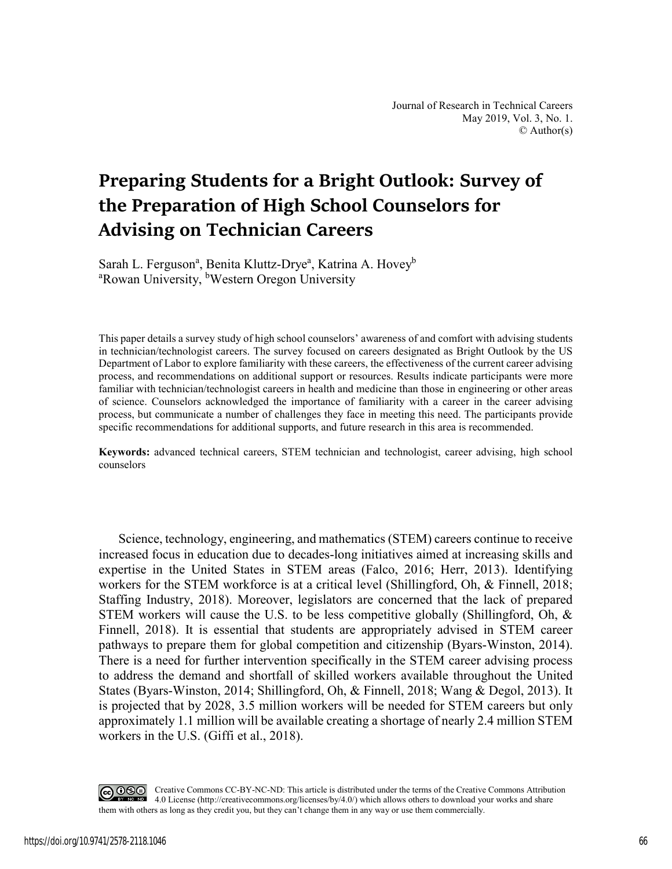# **Preparing Students for a Bright Outlook: Survey of the Preparation of High School Counselors for Advising on Technician Careers**

Sarah L. Ferguson<sup>a</sup>, Benita Kluttz-Drye<sup>a</sup>, Katrina A. Hovey<sup>b</sup> <sup>a</sup>Rowan University, <sup>b</sup>Western Oregon University

This paper details a survey study of high school counselors' awareness of and comfort with advising students in technician/technologist careers. The survey focused on careers designated as Bright Outlook by the US Department of Labor to explore familiarity with these careers, the effectiveness of the current career advising process, and recommendations on additional support or resources. Results indicate participants were more familiar with technician/technologist careers in health and medicine than those in engineering or other areas of science. Counselors acknowledged the importance of familiarity with a career in the career advising process, but communicate a number of challenges they face in meeting this need. The participants provide specific recommendations for additional supports, and future research in this area is recommended.

**Keywords:** advanced technical careers, STEM technician and technologist, career advising, high school counselors

Science, technology, engineering, and mathematics (STEM) careers continue to receive increased focus in education due to decades-long initiatives aimed at increasing skills and expertise in the United States in STEM areas (Falco, 2016; Herr, 2013). Identifying workers for the STEM workforce is at a critical level (Shillingford, Oh, & Finnell, 2018; Staffing Industry, 2018). Moreover, legislators are concerned that the lack of prepared STEM workers will cause the U.S. to be less competitive globally (Shillingford, Oh, & Finnell, 2018). It is essential that students are appropriately advised in STEM career pathways to prepare them for global competition and citizenship (Byars-Winston, 2014). There is a need for further intervention specifically in the STEM career advising process to address the demand and shortfall of skilled workers available throughout the United States (Byars-Winston, 2014; Shillingford, Oh, & Finnell, 2018; Wang & Degol, 2013). It is projected that by 2028, 3.5 million workers will be needed for STEM careers but only approximately 1.1 million will be available creating a shortage of nearly 2.4 million STEM workers in the U.S. (Giffi et al., 2018).

CO O Creative Commons CC-BY-NC-ND: This article is distributed under the terms of the Creative Commons Attribution 4.0 License (http://creativecommons.org/licenses/by/4.0/) which allows others to download your works and share them with others as long as they credit you, but they can't change them in any way or use them commercially.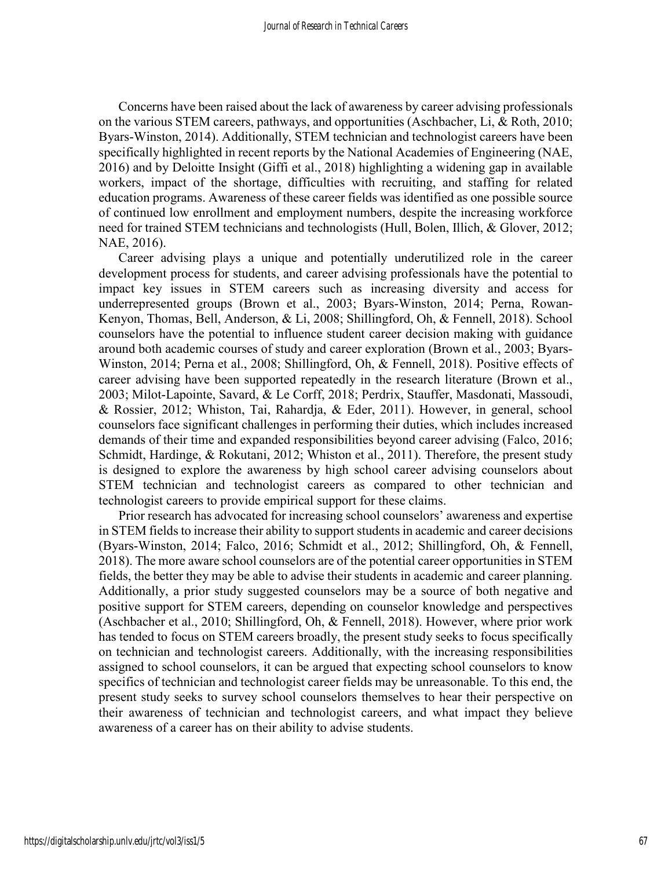Concerns have been raised about the lack of awareness by career advising professionals on the various STEM careers, pathways, and opportunities (Aschbacher, Li, & Roth, 2010; Byars-Winston, 2014). Additionally, STEM technician and technologist careers have been specifically highlighted in recent reports by the National Academies of Engineering (NAE, 2016) and by Deloitte Insight (Giffi et al., 2018) highlighting a widening gap in available workers, impact of the shortage, difficulties with recruiting, and staffing for related education programs. Awareness of these career fields was identified as one possible source of continued low enrollment and employment numbers, despite the increasing workforce need for trained STEM technicians and technologists (Hull, Bolen, Illich, & Glover, 2012; NAE, 2016).

Career advising plays a unique and potentially underutilized role in the career development process for students, and career advising professionals have the potential to impact key issues in STEM careers such as increasing diversity and access for underrepresented groups (Brown et al., 2003; Byars-Winston, 2014; Perna, Rowan-Kenyon, Thomas, Bell, Anderson, & Li, 2008; Shillingford, Oh, & Fennell, 2018). School counselors have the potential to influence student career decision making with guidance around both academic courses of study and career exploration (Brown et al., 2003; Byars-Winston, 2014; Perna et al., 2008; Shillingford, Oh, & Fennell, 2018). Positive effects of career advising have been supported repeatedly in the research literature (Brown et al., 2003; Milot-Lapointe, Savard, & Le Corff, 2018; Perdrix, Stauffer, Masdonati, Massoudi, & Rossier, 2012; Whiston, Tai, Rahardja, & Eder, 2011). However, in general, school counselors face significant challenges in performing their duties, which includes increased demands of their time and expanded responsibilities beyond career advising (Falco, 2016; Schmidt, Hardinge, & Rokutani, 2012; Whiston et al., 2011). Therefore, the present study is designed to explore the awareness by high school career advising counselors about STEM technician and technologist careers as compared to other technician and technologist careers to provide empirical support for these claims.

Prior research has advocated for increasing school counselors' awareness and expertise in STEM fields to increase their ability to support students in academic and career decisions (Byars-Winston, 2014; Falco, 2016; Schmidt et al., 2012; Shillingford, Oh, & Fennell, 2018). The more aware school counselors are of the potential career opportunities in STEM fields, the better they may be able to advise their students in academic and career planning. Additionally, a prior study suggested counselors may be a source of both negative and positive support for STEM careers, depending on counselor knowledge and perspectives (Aschbacher et al., 2010; Shillingford, Oh, & Fennell, 2018). However, where prior work has tended to focus on STEM careers broadly, the present study seeks to focus specifically on technician and technologist careers. Additionally, with the increasing responsibilities assigned to school counselors, it can be argued that expecting school counselors to know specifics of technician and technologist career fields may be unreasonable. To this end, the present study seeks to survey school counselors themselves to hear their perspective on their awareness of technician and technologist careers, and what impact they believe awareness of a career has on their ability to advise students.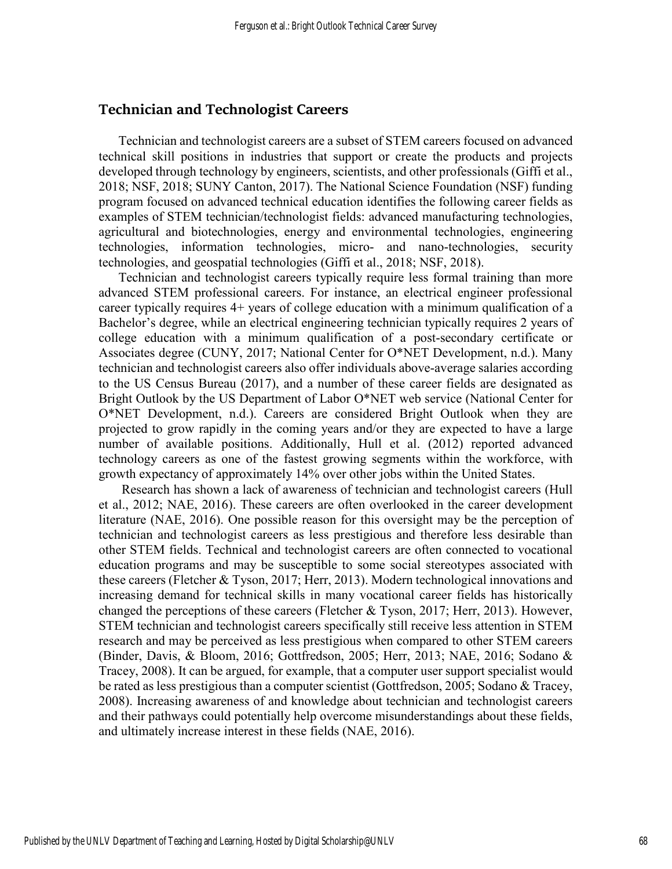#### **Technician and Technologist Careers**

Technician and technologist careers are a subset of STEM careers focused on advanced technical skill positions in industries that support or create the products and projects developed through technology by engineers, scientists, and other professionals (Giffi et al., 2018; NSF, 2018; SUNY Canton, 2017). The National Science Foundation (NSF) funding program focused on advanced technical education identifies the following career fields as examples of STEM technician/technologist fields: advanced manufacturing technologies, agricultural and biotechnologies, energy and environmental technologies, engineering technologies, information technologies, micro- and nano-technologies, security technologies, and geospatial technologies (Giffi et al., 2018; NSF, 2018).

Technician and technologist careers typically require less formal training than more advanced STEM professional careers. For instance, an electrical engineer professional career typically requires 4+ years of college education with a minimum qualification of a Bachelor's degree, while an electrical engineering technician typically requires 2 years of college education with a minimum qualification of a post-secondary certificate or Associates degree (CUNY, 2017; National Center for O\*NET Development, n.d.). Many technician and technologist careers also offer individuals above-average salaries according to the US Census Bureau (2017), and a number of these career fields are designated as Bright Outlook by the US Department of Labor O\*NET web service (National Center for O\*NET Development, n.d.). Careers are considered Bright Outlook when they are projected to grow rapidly in the coming years and/or they are expected to have a large number of available positions. Additionally, Hull et al. (2012) reported advanced technology careers as one of the fastest growing segments within the workforce, with growth expectancy of approximately 14% over other jobs within the United States.

 Research has shown a lack of awareness of technician and technologist careers (Hull et al., 2012; NAE, 2016). These careers are often overlooked in the career development literature (NAE, 2016). One possible reason for this oversight may be the perception of technician and technologist careers as less prestigious and therefore less desirable than other STEM fields. Technical and technologist careers are often connected to vocational education programs and may be susceptible to some social stereotypes associated with these careers (Fletcher & Tyson, 2017; Herr, 2013). Modern technological innovations and increasing demand for technical skills in many vocational career fields has historically changed the perceptions of these careers (Fletcher & Tyson, 2017; Herr, 2013). However, STEM technician and technologist careers specifically still receive less attention in STEM research and may be perceived as less prestigious when compared to other STEM careers (Binder, Davis, & Bloom, 2016; Gottfredson, 2005; Herr, 2013; NAE, 2016; Sodano & Tracey, 2008). It can be argued, for example, that a computer user support specialist would be rated as less prestigious than a computer scientist (Gottfredson, 2005; Sodano & Tracey, 2008). Increasing awareness of and knowledge about technician and technologist careers and their pathways could potentially help overcome misunderstandings about these fields, and ultimately increase interest in these fields (NAE, 2016).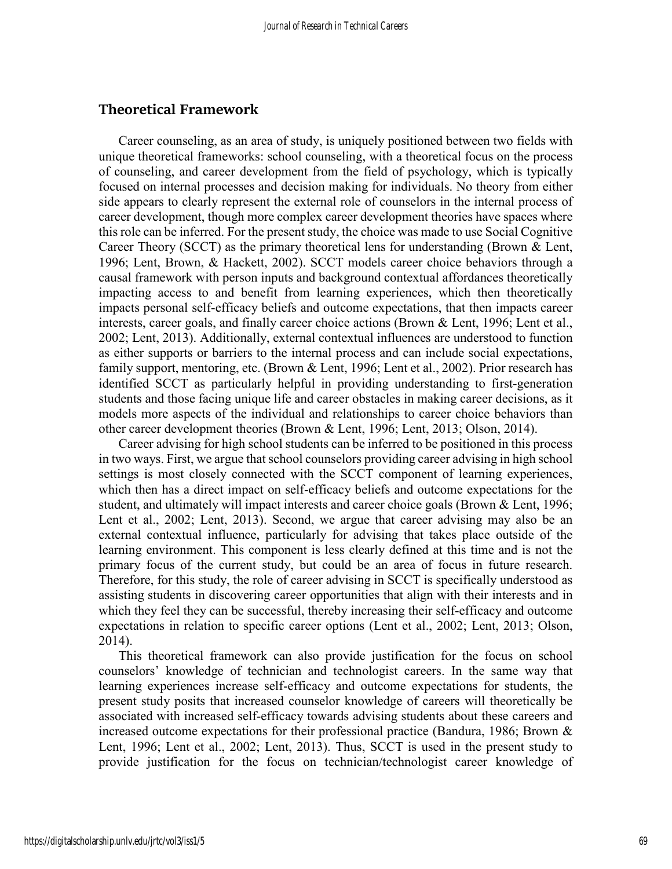#### **Theoretical Framework**

Career counseling, as an area of study, is uniquely positioned between two fields with unique theoretical frameworks: school counseling, with a theoretical focus on the process of counseling, and career development from the field of psychology, which is typically focused on internal processes and decision making for individuals. No theory from either side appears to clearly represent the external role of counselors in the internal process of career development, though more complex career development theories have spaces where this role can be inferred. For the present study, the choice was made to use Social Cognitive Career Theory (SCCT) as the primary theoretical lens for understanding (Brown & Lent, 1996; Lent, Brown, & Hackett, 2002). SCCT models career choice behaviors through a causal framework with person inputs and background contextual affordances theoretically impacting access to and benefit from learning experiences, which then theoretically impacts personal self-efficacy beliefs and outcome expectations, that then impacts career interests, career goals, and finally career choice actions (Brown & Lent, 1996; Lent et al., 2002; Lent, 2013). Additionally, external contextual influences are understood to function as either supports or barriers to the internal process and can include social expectations, family support, mentoring, etc. (Brown & Lent, 1996; Lent et al., 2002). Prior research has identified SCCT as particularly helpful in providing understanding to first-generation students and those facing unique life and career obstacles in making career decisions, as it models more aspects of the individual and relationships to career choice behaviors than other career development theories (Brown & Lent, 1996; Lent, 2013; Olson, 2014).

Career advising for high school students can be inferred to be positioned in this process in two ways. First, we argue that school counselors providing career advising in high school settings is most closely connected with the SCCT component of learning experiences, which then has a direct impact on self-efficacy beliefs and outcome expectations for the student, and ultimately will impact interests and career choice goals (Brown & Lent, 1996; Lent et al., 2002; Lent, 2013). Second, we argue that career advising may also be an external contextual influence, particularly for advising that takes place outside of the learning environment. This component is less clearly defined at this time and is not the primary focus of the current study, but could be an area of focus in future research. Therefore, for this study, the role of career advising in SCCT is specifically understood as assisting students in discovering career opportunities that align with their interests and in which they feel they can be successful, thereby increasing their self-efficacy and outcome expectations in relation to specific career options (Lent et al., 2002; Lent, 2013; Olson, 2014).

This theoretical framework can also provide justification for the focus on school counselors' knowledge of technician and technologist careers. In the same way that learning experiences increase self-efficacy and outcome expectations for students, the present study posits that increased counselor knowledge of careers will theoretically be associated with increased self-efficacy towards advising students about these careers and increased outcome expectations for their professional practice (Bandura, 1986; Brown & Lent, 1996; Lent et al., 2002; Lent, 2013). Thus, SCCT is used in the present study to provide justification for the focus on technician/technologist career knowledge of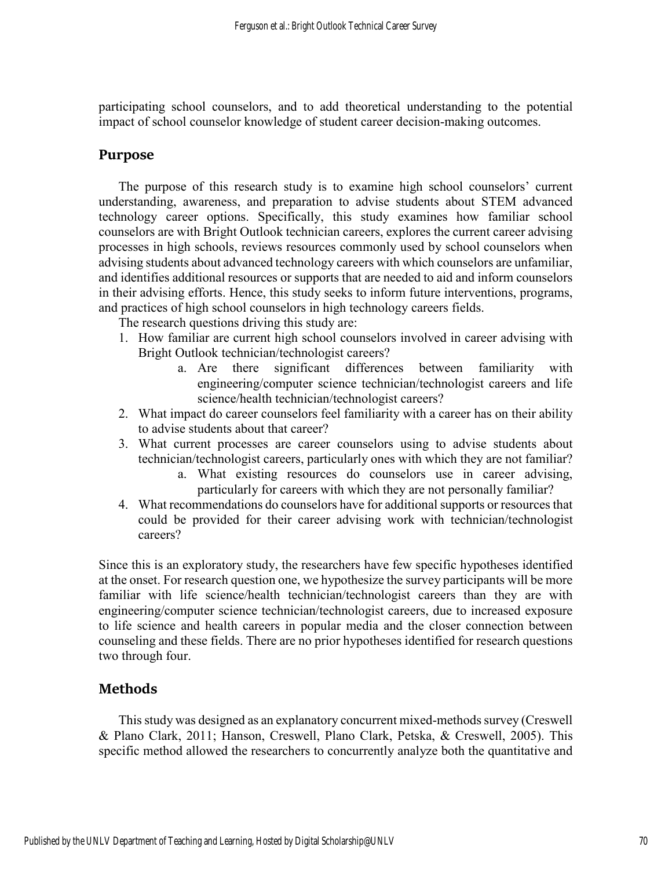participating school counselors, and to add theoretical understanding to the potential impact of school counselor knowledge of student career decision-making outcomes.

## **Purpose**

The purpose of this research study is to examine high school counselors' current understanding, awareness, and preparation to advise students about STEM advanced technology career options. Specifically, this study examines how familiar school counselors are with Bright Outlook technician careers, explores the current career advising processes in high schools, reviews resources commonly used by school counselors when advising students about advanced technology careers with which counselors are unfamiliar, and identifies additional resources or supports that are needed to aid and inform counselors in their advising efforts. Hence, this study seeks to inform future interventions, programs, and practices of high school counselors in high technology careers fields.

The research questions driving this study are:

- 1. How familiar are current high school counselors involved in career advising with Bright Outlook technician/technologist careers?
	- a. Are there significant differences between familiarity with engineering/computer science technician/technologist careers and life science/health technician/technologist careers?
- 2. What impact do career counselors feel familiarity with a career has on their ability to advise students about that career?
- 3. What current processes are career counselors using to advise students about technician/technologist careers, particularly ones with which they are not familiar?
	- a. What existing resources do counselors use in career advising, particularly for careers with which they are not personally familiar?
- 4. What recommendations do counselors have for additional supports or resources that could be provided for their career advising work with technician/technologist careers?

Since this is an exploratory study, the researchers have few specific hypotheses identified at the onset. For research question one, we hypothesize the survey participants will be more familiar with life science/health technician/technologist careers than they are with engineering/computer science technician/technologist careers, due to increased exposure to life science and health careers in popular media and the closer connection between counseling and these fields. There are no prior hypotheses identified for research questions two through four.

# **Methods**

This study was designed as an explanatory concurrent mixed-methods survey (Creswell & Plano Clark, 2011; Hanson, Creswell, Plano Clark, Petska, & Creswell, 2005). This specific method allowed the researchers to concurrently analyze both the quantitative and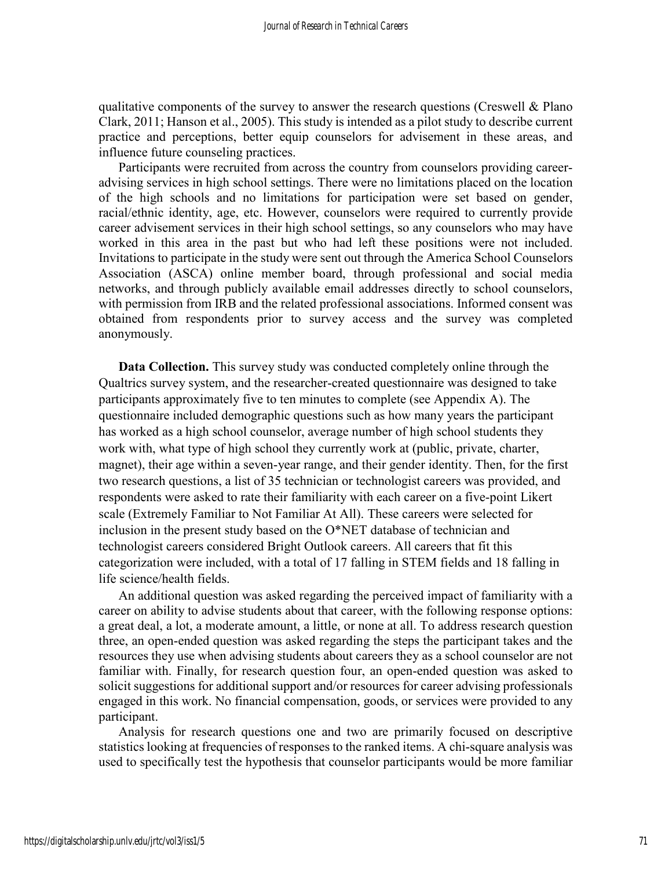qualitative components of the survey to answer the research questions (Creswell & Plano Clark, 2011; Hanson et al., 2005). This study is intended as a pilot study to describe current practice and perceptions, better equip counselors for advisement in these areas, and influence future counseling practices.

Participants were recruited from across the country from counselors providing careeradvising services in high school settings. There were no limitations placed on the location of the high schools and no limitations for participation were set based on gender, racial/ethnic identity, age, etc. However, counselors were required to currently provide career advisement services in their high school settings, so any counselors who may have worked in this area in the past but who had left these positions were not included. Invitations to participate in the study were sent out through the America School Counselors Association (ASCA) online member board, through professional and social media networks, and through publicly available email addresses directly to school counselors, with permission from IRB and the related professional associations. Informed consent was obtained from respondents prior to survey access and the survey was completed anonymously.

**Data Collection.** This survey study was conducted completely online through the Qualtrics survey system, and the researcher-created questionnaire was designed to take participants approximately five to ten minutes to complete (see Appendix A). The questionnaire included demographic questions such as how many years the participant has worked as a high school counselor, average number of high school students they work with, what type of high school they currently work at (public, private, charter, magnet), their age within a seven-year range, and their gender identity. Then, for the first two research questions, a list of 35 technician or technologist careers was provided, and respondents were asked to rate their familiarity with each career on a five-point Likert scale (Extremely Familiar to Not Familiar At All). These careers were selected for inclusion in the present study based on the O\*NET database of technician and technologist careers considered Bright Outlook careers. All careers that fit this categorization were included, with a total of 17 falling in STEM fields and 18 falling in life science/health fields.

An additional question was asked regarding the perceived impact of familiarity with a career on ability to advise students about that career, with the following response options: a great deal, a lot, a moderate amount, a little, or none at all. To address research question three, an open-ended question was asked regarding the steps the participant takes and the resources they use when advising students about careers they as a school counselor are not familiar with. Finally, for research question four, an open-ended question was asked to solicit suggestions for additional support and/or resources for career advising professionals engaged in this work. No financial compensation, goods, or services were provided to any participant.

Analysis for research questions one and two are primarily focused on descriptive statistics looking at frequencies of responses to the ranked items. A chi-square analysis was used to specifically test the hypothesis that counselor participants would be more familiar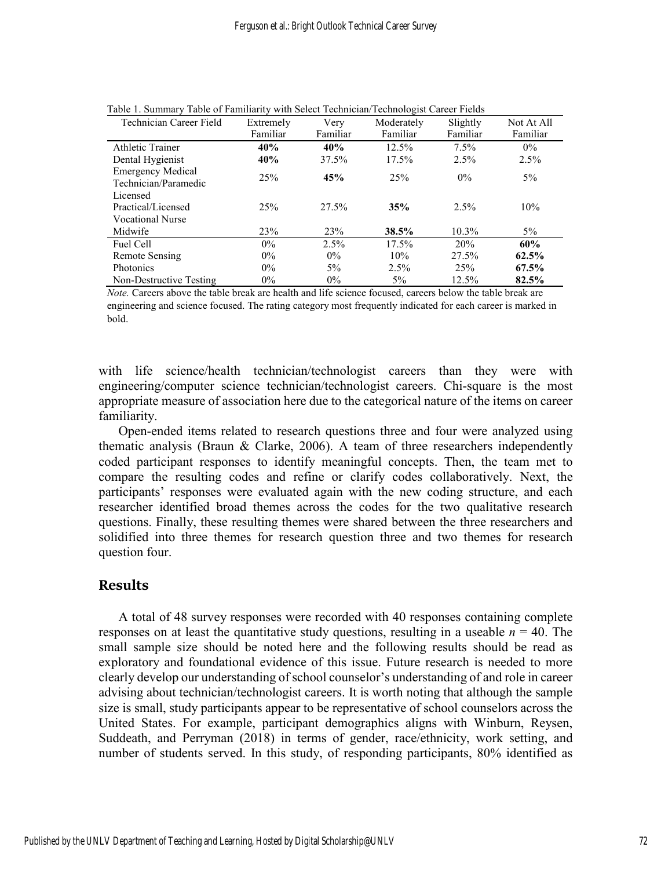| Technician Career Field                          | Extremely | Very     | Moderately | Slightly | Not At All |
|--------------------------------------------------|-----------|----------|------------|----------|------------|
|                                                  | Familiar  | Familiar | Familiar   | Familiar | Familiar   |
| Athletic Trainer                                 | 40%       | 40%      | $12.5\%$   | $7.5\%$  | $0\%$      |
| Dental Hygienist                                 | 40%       | 37.5%    | 17.5%      | 2.5%     | 2.5%       |
| <b>Emergency Medical</b><br>Technician/Paramedic | 25%       | 45%      | 25%        | $0\%$    | $5\%$      |
| Licensed                                         |           |          |            |          |            |
| Practical/Licensed                               | 25%       | 27.5%    | 35%        | $2.5\%$  | 10%        |
| <b>Vocational Nurse</b>                          |           |          |            |          |            |
| Midwife                                          | 23%       | 23%      | 38.5%      | 10.3%    | $5\%$      |
| Fuel Cell                                        | $0\%$     | 2.5%     | 17.5%      | 20%      | 60%        |
| Remote Sensing                                   | $0\%$     | $0\%$    | 10%        | 27.5%    | 62.5%      |
| <b>Photonics</b>                                 | $0\%$     | $5\%$    | 2.5%       | 25%      | 67.5%      |
| Non-Destructive Testing                          | $0\%$     | $0\%$    | $5\%$      | 12.5%    | 82.5%      |

Table 1. Summary Table of Familiarity with Select Technician/Technologist Career Fields

*Note.* Careers above the table break are health and life science focused, careers below the table break are engineering and science focused. The rating category most frequently indicated for each career is marked in bold.

with life science/health technician/technologist careers than they were with engineering/computer science technician/technologist careers. Chi-square is the most appropriate measure of association here due to the categorical nature of the items on career familiarity.

Open-ended items related to research questions three and four were analyzed using thematic analysis (Braun & Clarke, 2006). A team of three researchers independently coded participant responses to identify meaningful concepts. Then, the team met to compare the resulting codes and refine or clarify codes collaboratively. Next, the participants' responses were evaluated again with the new coding structure, and each researcher identified broad themes across the codes for the two qualitative research questions. Finally, these resulting themes were shared between the three researchers and solidified into three themes for research question three and two themes for research question four.

#### **Results**

A total of 48 survey responses were recorded with 40 responses containing complete responses on at least the quantitative study questions, resulting in a useable  $n = 40$ . The small sample size should be noted here and the following results should be read as exploratory and foundational evidence of this issue. Future research is needed to more clearly develop our understanding of school counselor's understanding of and role in career advising about technician/technologist careers. It is worth noting that although the sample size is small, study participants appear to be representative of school counselors across the United States. For example, participant demographics aligns with Winburn, Reysen, Suddeath, and Perryman (2018) in terms of gender, race/ethnicity, work setting, and number of students served. In this study, of responding participants, 80% identified as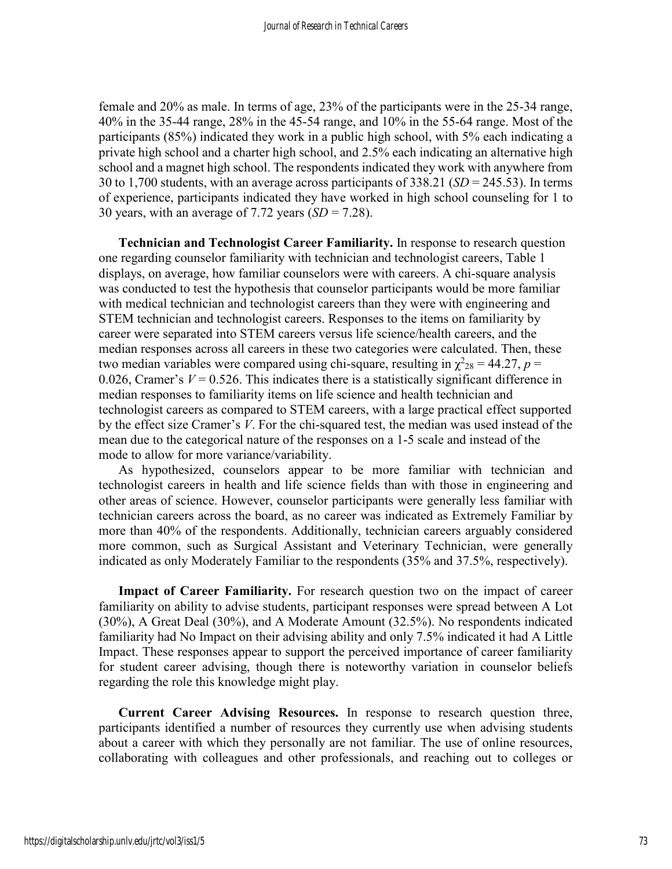female and 20% as male. In terms of age, 23% of the participants were in the 25-34 range, 40% in the 35-44 range, 28% in the 45-54 range, and 10% in the 55-64 range. Most of the participants (85%) indicated they work in a public high school, with 5% each indicating a private high school and a charter high school, and 2.5% each indicating an alternative high school and a magnet high school. The respondents indicated they work with anywhere from 30 to 1,700 students, with an average across participants of 338.21 (*SD* = 245.53). In terms of experience, participants indicated they have worked in high school counseling for 1 to 30 years, with an average of  $7.72$  years  $(SD = 7.28)$ .

**Technician and Technologist Career Familiarity.** In response to research question one regarding counselor familiarity with technician and technologist careers, Table 1 displays, on average, how familiar counselors were with careers. A chi-square analysis was conducted to test the hypothesis that counselor participants would be more familiar with medical technician and technologist careers than they were with engineering and STEM technician and technologist careers. Responses to the items on familiarity by career were separated into STEM careers versus life science/health careers, and the median responses across all careers in these two categories were calculated. Then, these two median variables were compared using chi-square, resulting in  $\chi^2_{28}$  = 44.27, *p* = 0.026, Cramer's  $V = 0.526$ . This indicates there is a statistically significant difference in median responses to familiarity items on life science and health technician and technologist careers as compared to STEM careers, with a large practical effect supported by the effect size Cramer's *V*. For the chi-squared test, the median was used instead of the mean due to the categorical nature of the responses on a 1-5 scale and instead of the mode to allow for more variance/variability.

As hypothesized, counselors appear to be more familiar with technician and technologist careers in health and life science fields than with those in engineering and other areas of science. However, counselor participants were generally less familiar with technician careers across the board, as no career was indicated as Extremely Familiar by more than 40% of the respondents. Additionally, technician careers arguably considered more common, such as Surgical Assistant and Veterinary Technician, were generally indicated as only Moderately Familiar to the respondents (35% and 37.5%, respectively).

**Impact of Career Familiarity.** For research question two on the impact of career familiarity on ability to advise students, participant responses were spread between A Lot (30%), A Great Deal (30%), and A Moderate Amount (32.5%). No respondents indicated familiarity had No Impact on their advising ability and only 7.5% indicated it had A Little Impact. These responses appear to support the perceived importance of career familiarity for student career advising, though there is noteworthy variation in counselor beliefs regarding the role this knowledge might play.

**Current Career Advising Resources.** In response to research question three, participants identified a number of resources they currently use when advising students about a career with which they personally are not familiar. The use of online resources, collaborating with colleagues and other professionals, and reaching out to colleges or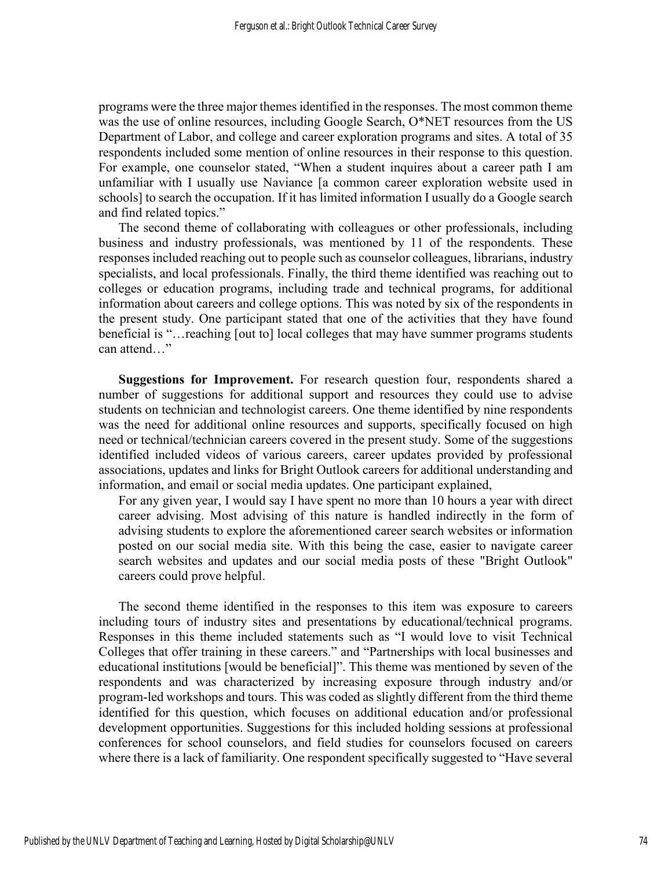programs were the three major themes identified in the responses. The most common theme was the use of online resources, including Google Search, O\*NET resources from the US Department of Labor, and college and career exploration programs and sites. A total of 35 respondents included some mention of online resources in their response to this question. For example, one counselor stated, "When a student inquires about a career path I am unfamiliar with I usually use Naviance [a common career exploration website used in schools] to search the occupation. If it has limited information I usually do a Google search and find related topics."

The second theme of collaborating with colleagues or other professionals, including business and industry professionals, was mentioned by 11 of the respondents. These responses included reaching out to people such as counselor colleagues, librarians, industry specialists, and local professionals. Finally, the third theme identified was reaching out to colleges or education programs, including trade and technical programs, for additional information about careers and college options. This was noted by six of the respondents in the present study. One participant stated that one of the activities that they have found beneficial is "…reaching [out to] local colleges that may have summer programs students can attend…"

**Suggestions for Improvement.** For research question four, respondents shared a number of suggestions for additional support and resources they could use to advise students on technician and technologist careers. One theme identified by nine respondents was the need for additional online resources and supports, specifically focused on high need or technical/technician careers covered in the present study. Some of the suggestions identified included videos of various careers, career updates provided by professional associations, updates and links for Bright Outlook careers for additional understanding and information, and email or social media updates. One participant explained,

For any given year, I would say I have spent no more than 10 hours a year with direct career advising. Most advising of this nature is handled indirectly in the form of advising students to explore the aforementioned career search websites or information posted on our social media site. With this being the case, easier to navigate career search websites and updates and our social media posts of these "Bright Outlook" careers could prove helpful.

The second theme identified in the responses to this item was exposure to careers including tours of industry sites and presentations by educational/technical programs. Responses in this theme included statements such as "I would love to visit Technical Colleges that offer training in these careers." and "Partnerships with local businesses and educational institutions [would be beneficial]". This theme was mentioned by seven of the respondents and was characterized by increasing exposure through industry and/or program-led workshops and tours. This was coded as slightly different from the third theme identified for this question, which focuses on additional education and/or professional development opportunities. Suggestions for this included holding sessions at professional conferences for school counselors, and field studies for counselors focused on careers where there is a lack of familiarity. One respondent specifically suggested to "Have several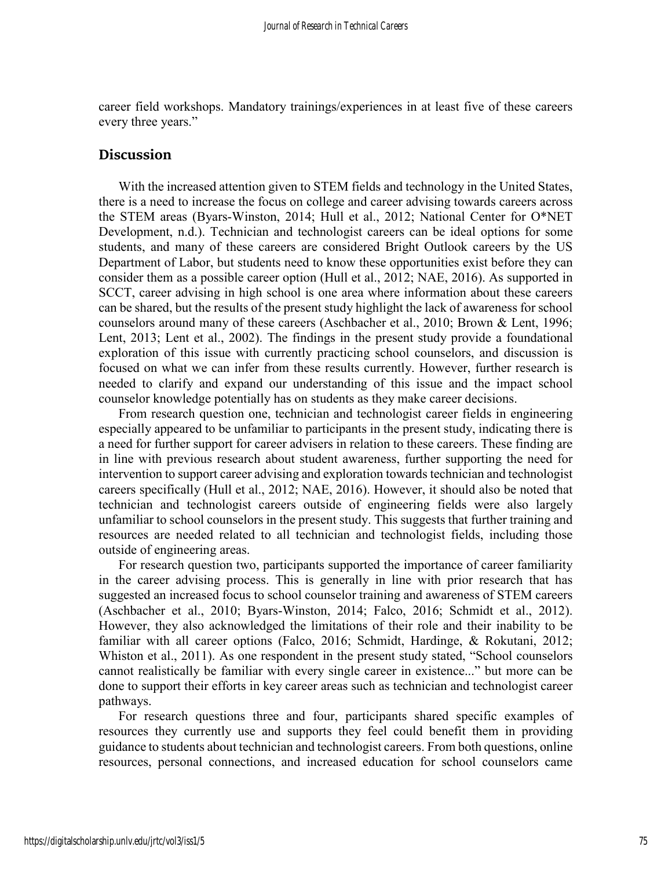career field workshops. Mandatory trainings/experiences in at least five of these careers every three years."

#### **Discussion**

With the increased attention given to STEM fields and technology in the United States, there is a need to increase the focus on college and career advising towards careers across the STEM areas (Byars-Winston, 2014; Hull et al., 2012; National Center for O\*NET Development, n.d.). Technician and technologist careers can be ideal options for some students, and many of these careers are considered Bright Outlook careers by the US Department of Labor, but students need to know these opportunities exist before they can consider them as a possible career option (Hull et al., 2012; NAE, 2016). As supported in SCCT, career advising in high school is one area where information about these careers can be shared, but the results of the present study highlight the lack of awareness for school counselors around many of these careers (Aschbacher et al., 2010; Brown & Lent, 1996; Lent, 2013; Lent et al., 2002). The findings in the present study provide a foundational exploration of this issue with currently practicing school counselors, and discussion is focused on what we can infer from these results currently. However, further research is needed to clarify and expand our understanding of this issue and the impact school counselor knowledge potentially has on students as they make career decisions.

From research question one, technician and technologist career fields in engineering especially appeared to be unfamiliar to participants in the present study, indicating there is a need for further support for career advisers in relation to these careers. These finding are in line with previous research about student awareness, further supporting the need for intervention to support career advising and exploration towards technician and technologist careers specifically (Hull et al., 2012; NAE, 2016). However, it should also be noted that technician and technologist careers outside of engineering fields were also largely unfamiliar to school counselors in the present study. This suggests that further training and resources are needed related to all technician and technologist fields, including those outside of engineering areas.

For research question two, participants supported the importance of career familiarity in the career advising process. This is generally in line with prior research that has suggested an increased focus to school counselor training and awareness of STEM careers (Aschbacher et al., 2010; Byars-Winston, 2014; Falco, 2016; Schmidt et al., 2012). However, they also acknowledged the limitations of their role and their inability to be familiar with all career options (Falco, 2016; Schmidt, Hardinge, & Rokutani, 2012; Whiston et al., 2011). As one respondent in the present study stated, "School counselors cannot realistically be familiar with every single career in existence..." but more can be done to support their efforts in key career areas such as technician and technologist career pathways.

For research questions three and four, participants shared specific examples of resources they currently use and supports they feel could benefit them in providing guidance to students about technician and technologist careers. From both questions, online resources, personal connections, and increased education for school counselors came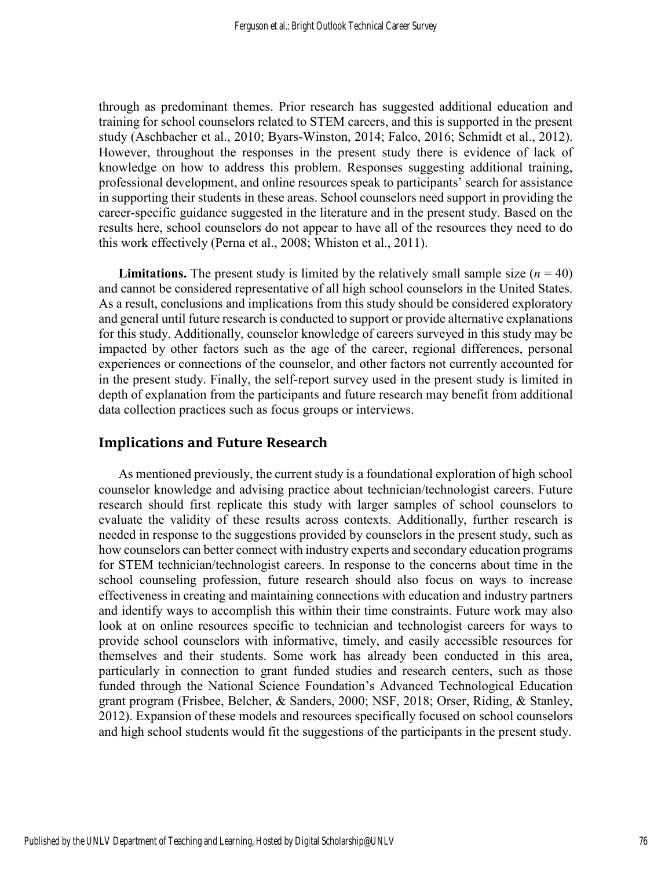through as predominant themes. Prior research has suggested additional education and training for school counselors related to STEM careers, and this is supported in the present study (Aschbacher et al., 2010; Byars-Winston, 2014; Falco, 2016; Schmidt et al., 2012). However, throughout the responses in the present study there is evidence of lack of knowledge on how to address this problem. Responses suggesting additional training, professional development, and online resources speak to participants' search for assistance in supporting their students in these areas. School counselors need support in providing the career-specific guidance suggested in the literature and in the present study. Based on the results here, school counselors do not appear to have all of the resources they need to do this work effectively (Perna et al., 2008; Whiston et al., 2011).

**Limitations.** The present study is limited by the relatively small sample size  $(n = 40)$ and cannot be considered representative of all high school counselors in the United States. As a result, conclusions and implications from this study should be considered exploratory and general until future research is conducted to support or provide alternative explanations for this study. Additionally, counselor knowledge of careers surveyed in this study may be impacted by other factors such as the age of the career, regional differences, personal experiences or connections of the counselor, and other factors not currently accounted for in the present study. Finally, the self-report survey used in the present study is limited in depth of explanation from the participants and future research may benefit from additional data collection practices such as focus groups or interviews.

# **Implications and Future Research**

As mentioned previously, the current study is a foundational exploration of high school counselor knowledge and advising practice about technician/technologist careers. Future research should first replicate this study with larger samples of school counselors to evaluate the validity of these results across contexts. Additionally, further research is needed in response to the suggestions provided by counselors in the present study, such as how counselors can better connect with industry experts and secondary education programs for STEM technician/technologist careers. In response to the concerns about time in the school counseling profession, future research should also focus on ways to increase effectiveness in creating and maintaining connections with education and industry partners and identify ways to accomplish this within their time constraints. Future work may also look at on online resources specific to technician and technologist careers for ways to provide school counselors with informative, timely, and easily accessible resources for themselves and their students. Some work has already been conducted in this area, particularly in connection to grant funded studies and research centers, such as those funded through the National Science Foundation's Advanced Technological Education grant program (Frisbee, Belcher, & Sanders, 2000; NSF, 2018; Orser, Riding, & Stanley, 2012). Expansion of these models and resources specifically focused on school counselors and high school students would fit the suggestions of the participants in the present study.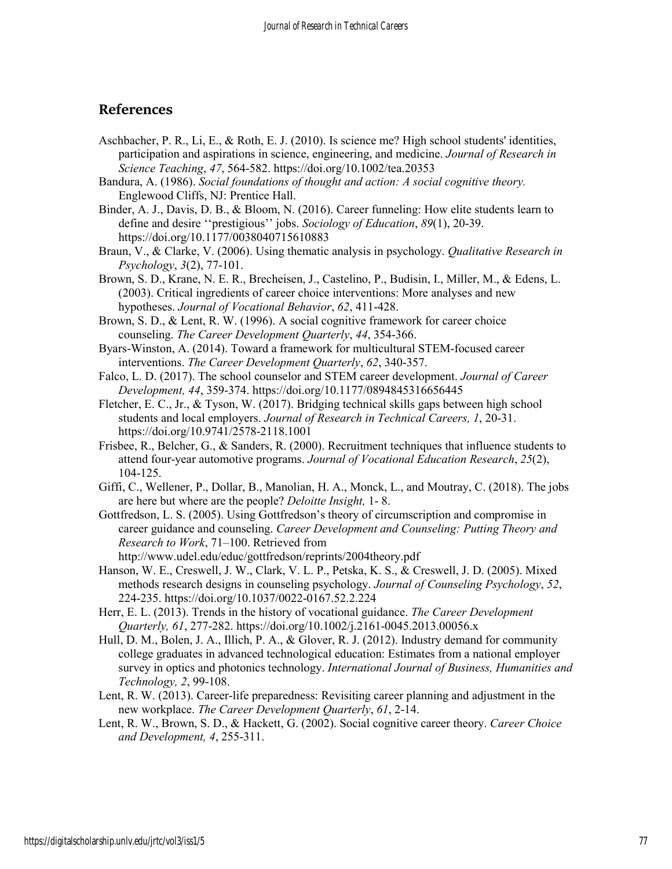# **References**

- Aschbacher, P. R., Li, E., & Roth, E. J. (2010). Is science me? High school students' identities, participation and aspirations in science, engineering, and medicine. *Journal of Research in Science Teaching*, *47*, 564-582. https://doi.org/10.1002/tea.20353
- Bandura, A. (1986). *Social foundations of thought and action: A social cognitive theory.*  Englewood Cliffs, NJ: Prentice Hall.
- Binder, A. J., Davis, D. B., & Bloom, N. (2016). Career funneling: How elite students learn to define and desire ''prestigious'' jobs. *Sociology of Education*, *89*(1), 20-39. https://doi.org/10.1177/0038040715610883
- Braun, V., & Clarke, V. (2006). Using thematic analysis in psychology. *Qualitative Research in Psychology*, *3*(2), 77-101.
- Brown, S. D., Krane, N. E. R., Brecheisen, J., Castelino, P., Budisin, I., Miller, M., & Edens, L. (2003). Critical ingredients of career choice interventions: More analyses and new hypotheses. *Journal of Vocational Behavior*, *62*, 411-428.
- Brown, S. D., & Lent, R. W. (1996). A social cognitive framework for career choice counseling. *The Career Development Quarterly*, *44*, 354-366.
- Byars‐Winston, A. (2014). Toward a framework for multicultural STEM‐focused career interventions. *The Career Development Quarterly*, *62*, 340-357.
- Falco, L. D. (2017). The school counselor and STEM career development. *Journal of Career Development, 44*, 359-374. https://doi.org/10.1177/0894845316656445
- Fletcher, E. C., Jr., & Tyson, W. (2017). Bridging technical skills gaps between high school students and local employers. *Journal of Research in Technical Careers, 1*, 20-31. https://doi.org/10.9741/2578-2118.1001
- Frisbee, R., Belcher, G., & Sanders, R. (2000). Recruitment techniques that influence students to attend four-year automotive programs. *Journal of Vocational Education Research*, *25*(2), 104-125.
- Giffi, C., Wellener, P., Dollar, B., Manolian, H. A., Monck, L., and Moutray, C. (2018). The jobs are here but where are the people? *Deloitte Insight,* 1- 8.
- Gottfredson, L. S. (2005). Using Gottfredson's theory of circumscription and compromise in career guidance and counseling. *Career Development and Counseling: Putting Theory and Research to Work*, 71–100. Retrieved from http://www.udel.edu/educ/gottfredson/reprints/2004theory.pdf
- Hanson, W. E., Creswell, J. W., Clark, V. L. P., Petska, K. S., & Creswell, J. D. (2005). Mixed methods research designs in counseling psychology. *Journal of Counseling Psychology*, *52*, 224-235. https://doi.org/10.1037/0022-0167.52.2.224
- Herr, E. L. (2013). Trends in the history of vocational guidance. *The Career Development Quarterly, 61*, 277-282. https://doi.org/10.1002/j.2161-0045.2013.00056.x
- Hull, D. M., Bolen, J. A., Illich, P. A., & Glover, R. J. (2012). Industry demand for community college graduates in advanced technological education: Estimates from a national employer survey in optics and photonics technology. *International Journal of Business, Humanities and Technology, 2*, 99-108.
- Lent, R. W. (2013). Career-life preparedness: Revisiting career planning and adjustment in the new workplace. *The Career Development Quarterly*, *61*, 2-14.
- Lent, R. W., Brown, S. D., & Hackett, G. (2002). Social cognitive career theory. *Career Choice and Development, 4*, 255-311.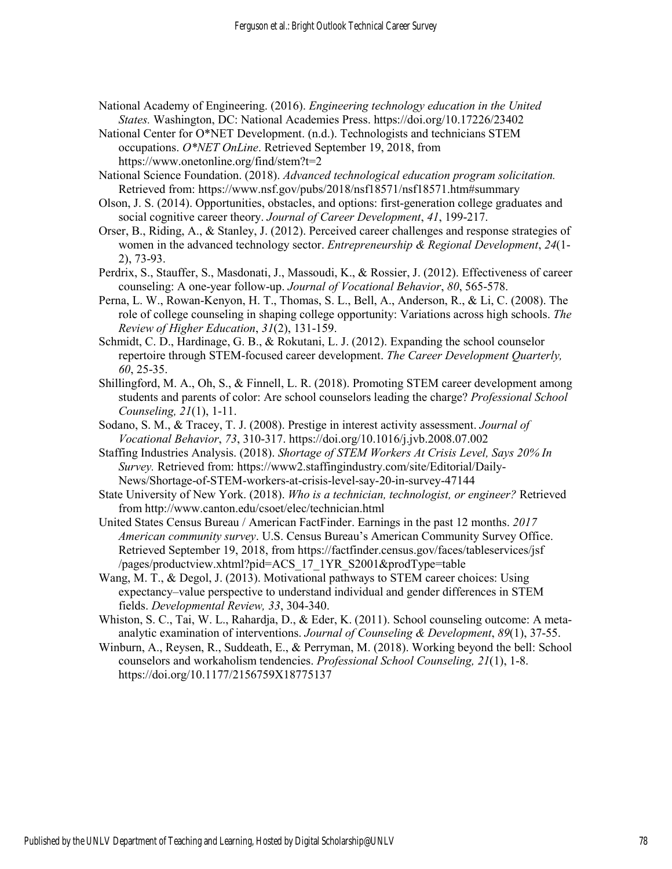- National Academy of Engineering. (2016). *Engineering technology education in the United States.* Washington, DC: National Academies Press. https://doi.org/10.17226/23402
- National Center for O\*NET Development. (n.d.). Technologists and technicians STEM occupations. *O\*NET OnLine*. Retrieved September 19, 2018, from https://www.onetonline.org/find/stem?t=2
- National Science Foundation. (2018). *Advanced technological education program solicitation.* Retrieved from: https://www.nsf.gov/pubs/2018/nsf18571/nsf18571.htm#summary
- Olson, J. S. (2014). Opportunities, obstacles, and options: first-generation college graduates and social cognitive career theory. *Journal of Career Development*, *41*, 199-217.
- Orser, B., Riding, A., & Stanley, J. (2012). Perceived career challenges and response strategies of women in the advanced technology sector. *Entrepreneurship & Regional Development*, *24*(1- 2), 73-93.
- Perdrix, S., Stauffer, S., Masdonati, J., Massoudi, K., & Rossier, J. (2012). Effectiveness of career counseling: A one-year follow-up. *Journal of Vocational Behavior*, *80*, 565-578.
- Perna, L. W., Rowan-Kenyon, H. T., Thomas, S. L., Bell, A., Anderson, R., & Li, C. (2008). The role of college counseling in shaping college opportunity: Variations across high schools. *The Review of Higher Education*, *31*(2), 131-159.
- Schmidt, C. D., Hardinage, G. B., & Rokutani, L. J. (2012). Expanding the school counselor repertoire through STEM-focused career development. *The Career Development Quarterly, 60*, 25-35.
- Shillingford, M. A., Oh, S., & Finnell, L. R. (2018). Promoting STEM career development among students and parents of color: Are school counselors leading the charge? *Professional School Counseling, 21*(1), 1-11.
- Sodano, S. M., & Tracey, T. J. (2008). Prestige in interest activity assessment. *Journal of Vocational Behavior*, *73*, 310-317. https://doi.org/10.1016/j.jvb.2008.07.002
- Staffing Industries Analysis. (2018). *Shortage of STEM Workers At Crisis Level, Says 20% In Survey.* Retrieved from: https://www2.staffingindustry.com/site/Editorial/Daily-News/Shortage-of-STEM-workers-at-crisis-level-say-20-in-survey-47144
- State University of New York. (2018). *Who is a technician, technologist, or engineer?* Retrieved from http://www.canton.edu/csoet/elec/technician.html
- United States Census Bureau / American FactFinder. Earnings in the past 12 months. *2017 American community survey*. U.S. Census Bureau's American Community Survey Office. Retrieved September 19, 2018, from https://factfinder.census.gov/faces/tableservices/jsf /pages/productview.xhtml?pid=ACS\_17\_1YR\_S2001&prodType=table
- Wang, M. T., & Degol, J. (2013). Motivational pathways to STEM career choices: Using expectancy–value perspective to understand individual and gender differences in STEM fields. *Developmental Review, 33*, 304-340.
- Whiston, S. C., Tai, W. L., Rahardja, D., & Eder, K. (2011). School counseling outcome: A metaanalytic examination of interventions. *Journal of Counseling & Development*, *89*(1), 37-55.
- Winburn, A., Reysen, R., Suddeath, E., & Perryman, M. (2018). Working beyond the bell: School counselors and workaholism tendencies. *Professional School Counseling, 21*(1), 1-8. https://doi.org/10.1177/2156759X18775137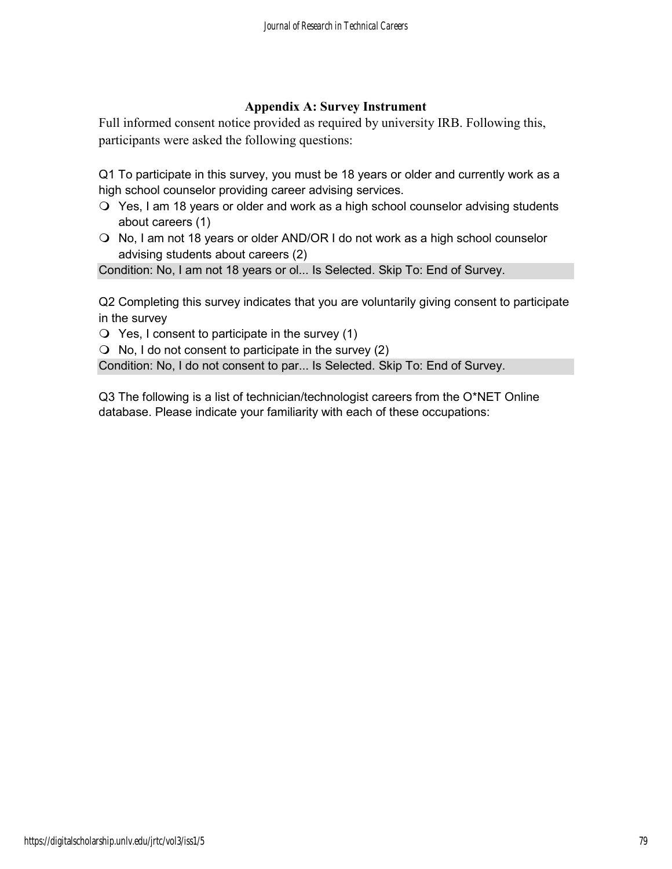## **Appendix A: Survey Instrument**

Full informed consent notice provided as required by university IRB. Following this, participants were asked the following questions:

Q1 To participate in this survey, you must be 18 years or older and currently work as a high school counselor providing career advising services.

- Yes, I am 18 years or older and work as a high school counselor advising students about careers (1)
- O No, I am not 18 years or older AND/OR I do not work as a high school counselor advising students about careers (2)

Condition: No, I am not 18 years or ol... Is Selected. Skip To: End of Survey.

Q2 Completing this survey indicates that you are voluntarily giving consent to participate in the survey

 $\bigcirc$  Yes, I consent to participate in the survey (1)

 $\bigcirc$  No, I do not consent to participate in the survey (2)

Condition: No, I do not consent to par... Is Selected. Skip To: End of Survey.

Q3 The following is a list of technician/technologist careers from the O\*NET Online database. Please indicate your familiarity with each of these occupations: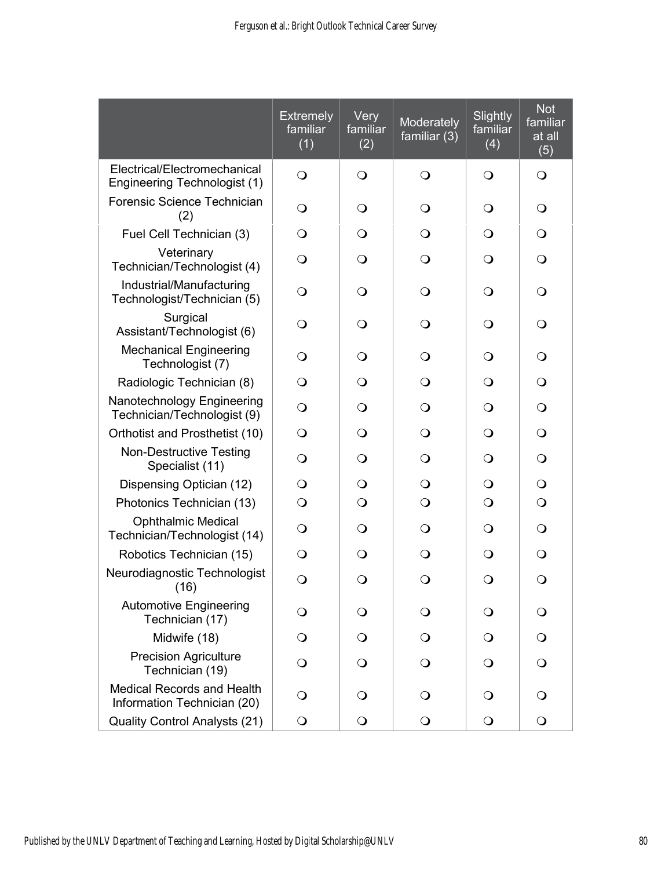|                                                                  | <b>Extremely</b><br>familiar<br>(1) | Very<br>familiar<br>(2) | Moderately<br>familiar $(3)$ | Slightly<br>familiar<br>(4) | <b>Not</b><br>familiar<br>at all<br>(5) |
|------------------------------------------------------------------|-------------------------------------|-------------------------|------------------------------|-----------------------------|-----------------------------------------|
| Electrical/Electromechanical<br>Engineering Technologist (1)     | $\bigcirc$                          | $\bigcirc$              | $\bigcirc$                   | $\Omega$                    | $\mathbf{O}$                            |
| Forensic Science Technician<br>(2)                               | $\bigcirc$                          | $\bigcirc$              | $\Omega$                     | $\bigcirc$                  | $\mathsf{O}$                            |
| Fuel Cell Technician (3)                                         | $\bigcirc$                          | $\bigcirc$              | $\bigcirc$                   | $\Omega$                    | $\bigcirc$                              |
| Veterinary<br>Technician/Technologist (4)                        | $\bigcirc$                          | $\bigcirc$              | $\circ$                      | $\bigcirc$                  | $\bigcirc$                              |
| Industrial/Manufacturing<br>Technologist/Technician (5)          | $\overline{O}$                      | $\bigcirc$              | $\circ$                      | $\bigcirc$                  | $\mathsf{O}$                            |
| Surgical<br>Assistant/Technologist (6)                           | $\mathbf{O}$                        | $\bigcirc$              | $\Omega$                     | $\bigcirc$                  | $\mathsf{O}$                            |
| <b>Mechanical Engineering</b><br>Technologist (7)                | $\bigcirc$                          | $\bigcirc$              | $\circ$                      | $\bigcirc$                  | $\mathsf{O}$                            |
| Radiologic Technician (8)                                        | $\mathsf{O}$                        | $\bigcirc$              | $\Omega$                     | $\Omega$                    | $\mathsf{O}$                            |
| Nanotechnology Engineering<br>Technician/Technologist (9)        | $\Omega$                            | $\Omega$                | $\Omega$                     | Q                           | $\mathsf{O}$                            |
| Orthotist and Prosthetist (10)                                   | $\mathsf{O}$                        | $\Omega$                | $\Omega$                     | $\Omega$                    | $\mathsf{O}$                            |
| <b>Non-Destructive Testing</b><br>Specialist (11)                | $\bigcirc$                          | $\bigcirc$              | $\Omega$                     | $\Omega$                    | $\bigcirc$                              |
| Dispensing Optician (12)                                         | $\mathbf{O}$                        | $\bigcirc$              | $\Omega$                     | $\Omega$                    | $\bigcirc$                              |
| Photonics Technician (13)                                        | $\bigcirc$                          | $\bigcirc$              | $\bigcirc$                   | $\bigcirc$                  | $\overline{O}$                          |
| <b>Ophthalmic Medical</b><br>Technician/Technologist (14)        | $\Omega$                            | $\Omega$                | $\circ$                      | $\Omega$                    | $\bigcirc$                              |
| Robotics Technician (15)                                         | $\bigcirc$                          | $\Omega$                | $\Omega$                     | $\Omega$                    | $\bigcirc$                              |
| Neurodiagnostic Technologist<br>(16)                             | $\bigcirc$                          | $\bigcirc$              | $\bigcirc$                   | $\bigcirc$                  | $\bigcirc$                              |
| <b>Automotive Engineering</b><br>Technician (17)                 | $\circ$                             | $\circ$                 | $\circ$                      | $\cup$                      | Ő                                       |
| Midwife (18)                                                     | $\circ$                             | $\mathsf{O}$            | $\circ$                      | $\Omega$                    | $\circ$                                 |
| <b>Precision Agriculture</b><br>Technician (19)                  | $\Omega$                            | $\Omega$                | $\Omega$                     | $\Omega$                    | $\mathsf{O}$                            |
| <b>Medical Records and Health</b><br>Information Technician (20) | $\Omega$                            | $\Omega$                | $\Omega$                     | $\Omega$                    | $\Omega$                                |
| <b>Quality Control Analysts (21)</b>                             | $\bigcirc$                          | $\bigcirc$              | $\bigcirc$                   | $\bigcirc$                  | $\bigcirc$                              |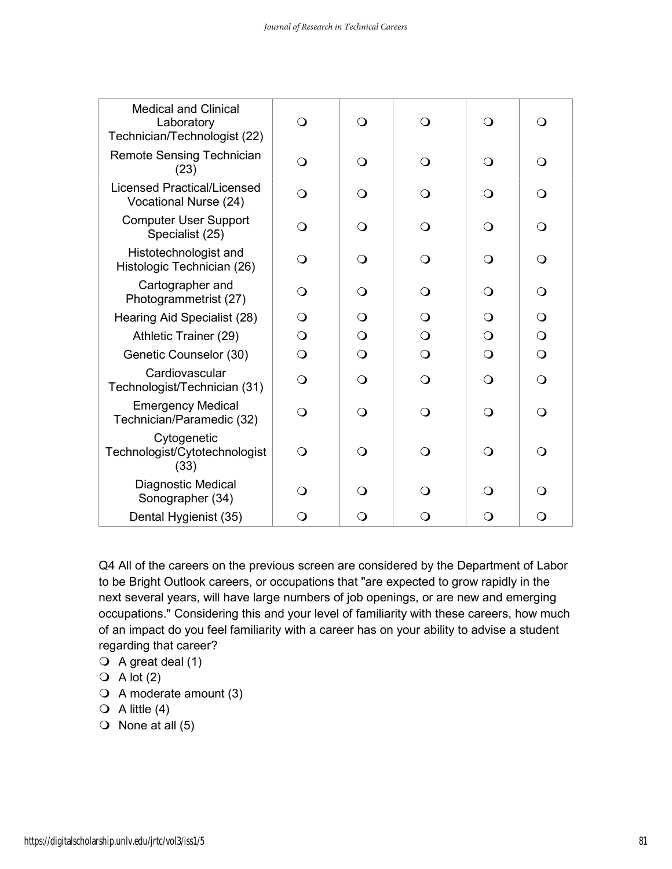| <b>Medical and Clinical</b><br>Laboratory<br>Technician/Technologist (22) | $\Omega$   | $\Omega$ |          | $\Omega$ | $\Omega$     |
|---------------------------------------------------------------------------|------------|----------|----------|----------|--------------|
| <b>Remote Sensing Technician</b><br>(23)                                  | $\bigcirc$ | $\Omega$ | $\Omega$ | $\Omega$ | $\Omega$     |
| <b>Licensed Practical/Licensed</b><br>Vocational Nurse (24)               | Q          | ∩        | ∩        | ∩        | Q            |
| <b>Computer User Support</b><br>Specialist (25)                           | $\Omega$   | $\Omega$ | $\Omega$ | $\Omega$ | $\Omega$     |
| Histotechnologist and<br>Histologic Technician (26)                       | $\Omega$   | ∩        | $\Omega$ | $\Omega$ | $\Omega$     |
| Cartographer and<br>Photogrammetrist (27)                                 | Q          | ∩        | ∩        | ∩        | Q            |
| Hearing Aid Specialist (28)                                               | $\Omega$   | ∩        | ∩        | ∩        | $\Omega$     |
| Athletic Trainer (29)                                                     | $\Omega$   | $\Omega$ | $\Omega$ | $\Omega$ | $\bigcirc$   |
| Genetic Counselor (30)                                                    | $\bigcirc$ | $\Omega$ | $\Omega$ | $\Omega$ | $\bigcirc$   |
| Cardiovascular<br>Technologist/Technician (31)                            | $\Omega$   | $\Omega$ | $\Omega$ | $\Omega$ | $\Omega$     |
| <b>Emergency Medical</b><br>Technician/Paramedic (32)                     | $\Omega$   | $\Omega$ | $\Omega$ | $\Omega$ | $\Omega$     |
| Cytogenetic<br>Technologist/Cytotechnologist<br>(33)                      | $\Omega$   | ∩        | ∩        | ∩        | $\Omega$     |
| Diagnostic Medical<br>Sonographer (34)                                    | Q          | ∩        | ∩        | ∩        | Q            |
| Dental Hygienist (35)                                                     | $\Omega$   | Q        | Q        | Q        | $\mathsf{O}$ |

Q4 All of the careers on the previous screen are considered by the Department of Labor to be Bright Outlook careers, or occupations that "are expected to grow rapidly in the next several years, will have large numbers of job openings, or are new and emerging occupations." Considering this and your level of familiarity with these careers, how much of an impact do you feel familiarity with a career has on your ability to advise a student regarding that career?

- $\bigcirc$  A great deal (1)
- $\bigcirc$  A lot (2)
- $\bigcirc$  A moderate amount (3)
- $\bigcirc$  A little (4)
- $\bigcirc$  None at all (5)